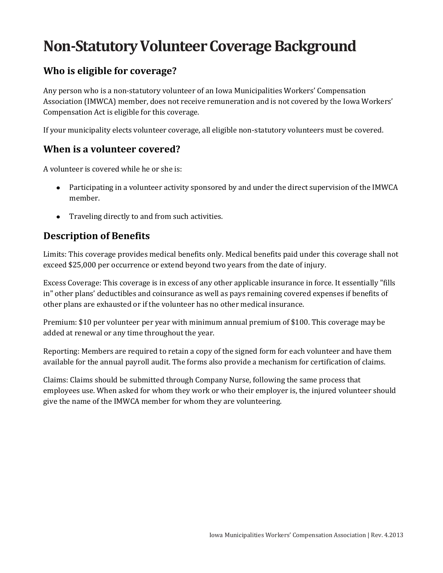# **Non-Statutory Volunteer Coverage Background**

### **Who is eligible for coverage?**

Any person who is a non-statutory volunteer of an Iowa Municipalities Workers' Compensation Association (IMWCA) member, does not receive remuneration and is not covered by the Iowa Workers' Compensation Act is eligible for this coverage.

If your municipality elects volunteer coverage, all eligible non-statutory volunteers must be covered.

#### **When is a volunteer covered?**

A volunteer is covered while he or she is:

- Participating in a volunteer activity sponsored by and under the direct supervision of the IMWCA member.
- $\bullet$ Traveling directly to and from such activities.

### **Description of Benefits**

Limits: This coverage provides medical benefits only. Medical benefits paid under this coverage shall not exceed \$25,000 per occurrence or extend beyond two years from the date of injury.

Excess Coverage: This coverage is in excess of any other applicable insurance in force. It essentially "fills in" other plans' deductibles and coinsurance as well as pays remaining covered expenses if benefits of other plans are exhausted or if the volunteer has no other medical insurance.

Premium: \$10 per volunteer per year with minimum annual premium of \$100. This coverage may be added at renewal or any time throughout the year.

Reporting: Members are required to retain a copy of the signed form for each volunteer and have them available for the annual payroll audit. The forms also provide a mechanism for certification of claims.

Claims: Claims should be submitted through Company Nurse, following the same process that employees use. When asked for whom they work or who their employer is, the injured volunteer should give the name of the IMWCA member for whom they are volunteering.